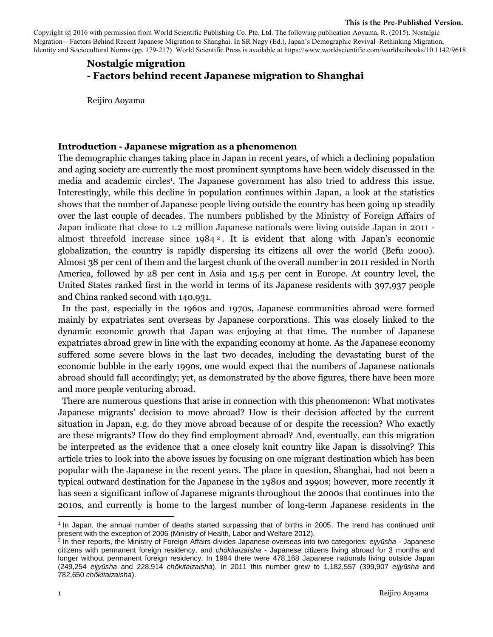#### **This is the Pre-Published Version.**

Copyright @ 2016 with permission from World Scientific Publishing Co. Pte. Ltd. The following publication Aoyama, R. (2015). Nostalgic Migration—Factors Behind Recent Japanese Migration to Shanghai. In SR Nagy (Ed.), Japan's Demographic Revival–Rethinking Migration, Identity and Sociocultural Norms (pp. 179-217). World Scientific Press is available at https://www.worldscientific.com/worldscibooks/10.1142/9618.

# **Nostalgic migration - Factors behind recent Japanese migration to Shanghai**

Reijiro Aoyama

#### **Introduction - Japanese migration as a phenomenon**

The demographic changes taking place in Japan in recent years, of which a declining population and aging society are currently the most prominent symptoms have been widely discussed in the media and academic circles<sup>1</sup>. The Japanese government has also tried to address this issue. Interestingly, while this decline in population continues within Japan, a look at the statistics shows that the number of Japanese people living outside the country has been going up steadily over the last couple of decades. The numbers published by the Ministry of Foreign Affairs of Japan indicate that close to 1.2 million Japanese nationals were living outside Japan in 2011 almost threefold increase since 1984 <sup>2</sup> . It is evident that along with Japan's economic globalization, the country is rapidly dispersing its citizens all over the world (Befu 2000). Almost 38 per cent of them and the largest chunk of the overall number in 2011 resided in North America, followed by 28 per cent in Asia and 15.5 per cent in Europe. At country level, the United States ranked first in the world in terms of its Japanese residents with 397,937 people and China ranked second with 140,931.

 In the past, especially in the 1960s and 1970s, Japanese communities abroad were formed mainly by expatriates sent overseas by Japanese corporations. This was closely linked to the dynamic economic growth that Japan was enjoying at that time. The number of Japanese expatriates abroad grew in line with the expanding economy at home. As the Japanese economy suffered some severe blows in the last two decades, including the devastating burst of the economic bubble in the early 1990s, one would expect that the numbers of Japanese nationals abroad should fall accordingly; yet, as demonstrated by the above figures, there have been more and more people venturing abroad.

 There are numerous questions that arise in connection with this phenomenon: What motivates Japanese migrants' decision to move abroad? How is their decision affected by the current situation in Japan, e.g. do they move abroad because of or despite the recession? Who exactly are these migrants? How do they find employment abroad? And, eventually, can this migration be interpreted as the evidence that a once closely knit country like Japan is dissolving? This article tries to look into the above issues by focusing on one migrant destination which has been popular with the Japanese in the recent years. The place in question, Shanghai, had not been a typical outward destination for the Japanese in the 1980s and 1990s; however, more recently it has seen a significant inflow of Japanese migrants throughout the 2000s that continues into the 2010s, and currently is home to the largest number of long-term Japanese residents in the

<sup>1</sup> In Japan, the annual number of deaths started surpassing that of births in 2005. The trend has continued until present with the exception of 2006 (Ministry of Health, Labor and Welfare 2012). 2 In their reports, the Ministry of Foreign Affairs divides Japanese overseas into two categories: *eijyūsha* - Japanese

citizens with permanent foreign residency, and *chōkitaizaisha* - Japanese citizens living abroad for 3 months and longer without permanent foreign residency. In 1984 there were 478,168 Japanese nationals living outside Japan (249,254 *eijyūsha* and 228,914 *chōkitaizaisha*). In 2011 this number grew to 1,182,557 (399,907 *eijyūsha* and 782,650 *chōkitaizaisha*).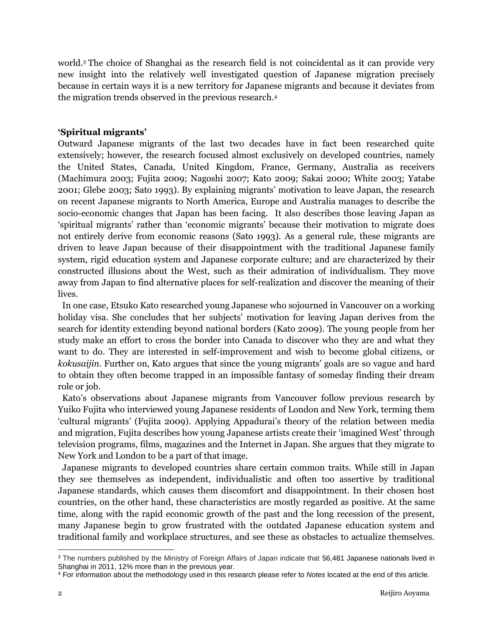world.<sup>3</sup> The choice of Shanghai as the research field is not coincidental as it can provide very new insight into the relatively well investigated question of Japanese migration precisely because in certain ways it is a new territory for Japanese migrants and because it deviates from the migration trends observed in the previous research.<sup>4</sup>

## **'Spiritual migrants'**

Outward Japanese migrants of the last two decades have in fact been researched quite extensively; however, the research focused almost exclusively on developed countries, namely the United States, Canada, United Kingdom, France, Germany, Australia as receivers (Machimura 2003; Fujita 2009; Nagoshi 2007; Kato 2009; Sakai 2000; White 2003; Yatabe 2001; Glebe 2003; Sato 1993). By explaining migrants' motivation to leave Japan, the research on recent Japanese migrants to North America, Europe and Australia manages to describe the socio-economic changes that Japan has been facing. It also describes those leaving Japan as 'spiritual migrants' rather than 'economic migrants' because their motivation to migrate does not entirely derive from economic reasons (Sato 1993). As a general rule, these migrants are driven to leave Japan because of their disappointment with the traditional Japanese family system, rigid education system and Japanese corporate culture; and are characterized by their constructed illusions about the West, such as their admiration of individualism. They move away from Japan to find alternative places for self-realization and discover the meaning of their lives.

 In one case, Etsuko Kato researched young Japanese who sojourned in Vancouver on a working holiday visa. She concludes that her subjects' motivation for leaving Japan derives from the search for identity extending beyond national borders (Kato 2009). The young people from her study make an effort to cross the border into Canada to discover who they are and what they want to do. They are interested in self-improvement and wish to become global citizens, or *kokusaijin*. Further on, Kato argues that since the young migrants' goals are so vague and hard to obtain they often become trapped in an impossible fantasy of someday finding their dream role or job.

 Kato's observations about Japanese migrants from Vancouver follow previous research by Yuiko Fujita who interviewed young Japanese residents of London and New York, terming them 'cultural migrants' (Fujita 2009). Applying Appadurai's theory of the relation between media and migration, Fujita describes how young Japanese artists create their 'imagined West' through television programs, films, magazines and the Internet in Japan. She argues that they migrate to New York and London to be a part of that image.

 Japanese migrants to developed countries share certain common traits. While still in Japan they see themselves as independent, individualistic and often too assertive by traditional Japanese standards, which causes them discomfort and disappointment. In their chosen host countries, on the other hand, these characteristics are mostly regarded as positive. At the same time, along with the rapid economic growth of the past and the long recession of the present, many Japanese begin to grow frustrated with the outdated Japanese education system and traditional family and workplace structures, and see these as obstacles to actualize themselves.

l

<sup>&</sup>lt;sup>3</sup> The numbers published by the Ministry of Foreign Affairs of Japan indicate that 56,481 Japanese nationals lived in Shanghai in 2011, 12% more than in the previous year.

<sup>4</sup> For information about the methodology used in this research please refer to *Notes* located at the end of this article.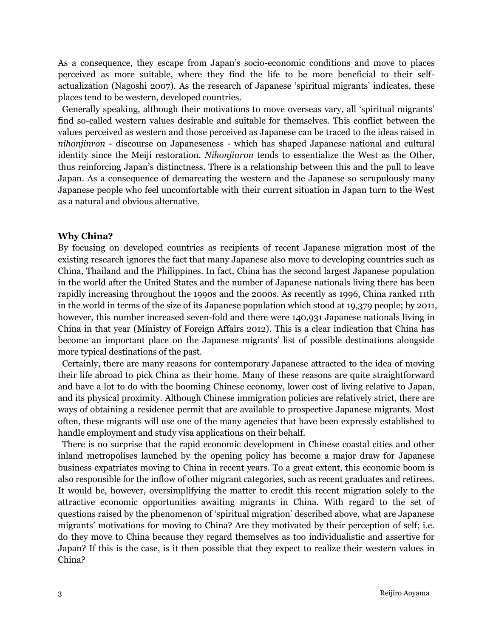As a consequence, they escape from Japan's socio-economic conditions and move to places perceived as more suitable, where they find the life to be more beneficial to their selfactualization (Nagoshi 2007). As the research of Japanese 'spiritual migrants' indicates, these places tend to be western, developed countries.

 Generally speaking, although their motivations to move overseas vary, all 'spiritual migrants' find so-called western values desirable and suitable for themselves. This conflict between the values perceived as western and those perceived as Japanese can be traced to the ideas raised in *nihonjinron* - discourse on Japaneseness - which has shaped Japanese national and cultural identity since the Meiji restoration. *Nihonjinron* tends to essentialize the West as the Other, thus reinforcing Japan's distinctness. There is a relationship between this and the pull to leave Japan. As a consequence of demarcating the western and the Japanese so scrupulously many Japanese people who feel uncomfortable with their current situation in Japan turn to the West as a natural and obvious alternative.

#### **Why China?**

By focusing on developed countries as recipients of recent Japanese migration most of the existing research ignores the fact that many Japanese also move to developing countries such as China, Thailand and the Philippines. In fact, China has the second largest Japanese population in the world after the United States and the number of Japanese nationals living there has been rapidly increasing throughout the 1990s and the 2000s. As recently as 1996, China ranked 11th in the world in terms of the size of its Japanese population which stood at 19,379 people; by 2011, however, this number increased seven-fold and there were 140,931 Japanese nationals living in China in that year (Ministry of Foreign Affairs 2012). This is a clear indication that China has become an important place on the Japanese migrants' list of possible destinations alongside more typical destinations of the past.

 Certainly, there are many reasons for contemporary Japanese attracted to the idea of moving their life abroad to pick China as their home. Many of these reasons are quite straightforward and have a lot to do with the booming Chinese economy, lower cost of living relative to Japan, and its physical proximity. Although Chinese immigration policies are relatively strict, there are ways of obtaining a residence permit that are available to prospective Japanese migrants. Most often, these migrants will use one of the many agencies that have been expressly established to handle employment and study visa applications on their behalf.

 There is no surprise that the rapid economic development in Chinese coastal cities and other inland metropolises launched by the opening policy has become a major draw for Japanese business expatriates moving to China in recent years. To a great extent, this economic boom is also responsible for the inflow of other migrant categories, such as recent graduates and retirees. It would be, however, oversimplifying the matter to credit this recent migration solely to the attractive economic opportunities awaiting migrants in China. With regard to the set of questions raised by the phenomenon of 'spiritual migration' described above, what are Japanese migrants' motivations for moving to China? Are they motivated by their perception of self; i.e. do they move to China because they regard themselves as too individualistic and assertive for Japan? If this is the case, is it then possible that they expect to realize their western values in China?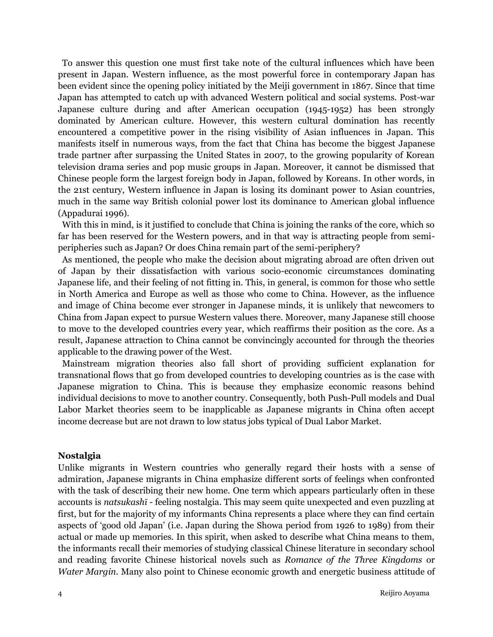To answer this question one must first take note of the cultural influences which have been present in Japan. Western influence, as the most powerful force in contemporary Japan has been evident since the opening policy initiated by the Meiji government in 1867. Since that time Japan has attempted to catch up with advanced Western political and social systems. Post-war Japanese culture during and after American occupation (1945-1952) has been strongly dominated by American culture. However, this western cultural domination has recently encountered a competitive power in the rising visibility of Asian influences in Japan. This manifests itself in numerous ways, from the fact that China has become the biggest Japanese trade partner after surpassing the United States in 2007, to the growing popularity of Korean television drama series and pop music groups in Japan. Moreover, it cannot be dismissed that Chinese people form the largest foreign body in Japan, followed by Koreans. In other words, in the 21st century, Western influence in Japan is losing its dominant power to Asian countries, much in the same way British colonial power lost its dominance to American global influence (Appadurai 1996).

 With this in mind, is it justified to conclude that China is joining the ranks of the core, which so far has been reserved for the Western powers, and in that way is attracting people from semiperipheries such as Japan? Or does China remain part of the semi-periphery?

 As mentioned, the people who make the decision about migrating abroad are often driven out of Japan by their dissatisfaction with various socio-economic circumstances dominating Japanese life, and their feeling of not fitting in. This, in general, is common for those who settle in North America and Europe as well as those who come to China. However, as the influence and image of China become ever stronger in Japanese minds, it is unlikely that newcomers to China from Japan expect to pursue Western values there. Moreover, many Japanese still choose to move to the developed countries every year, which reaffirms their position as the core. As a result, Japanese attraction to China cannot be convincingly accounted for through the theories applicable to the drawing power of the West.

 Mainstream migration theories also fall short of providing sufficient explanation for transnational flows that go from developed countries to developing countries as is the case with Japanese migration to China. This is because they emphasize economic reasons behind individual decisions to move to another country. Consequently, both Push-Pull models and Dual Labor Market theories seem to be inapplicable as Japanese migrants in China often accept income decrease but are not drawn to low status jobs typical of Dual Labor Market.

#### **Nostalgia**

Unlike migrants in Western countries who generally regard their hosts with a sense of admiration, Japanese migrants in China emphasize different sorts of feelings when confronted with the task of describing their new home. One term which appears particularly often in these accounts is *natsukashī* - feeling nostalgia. This may seem quite unexpected and even puzzling at first, but for the majority of my informants China represents a place where they can find certain aspects of 'good old Japan' (i.e. Japan during the Showa period from 1926 to 1989) from their actual or made up memories. In this spirit, when asked to describe what China means to them, the informants recall their memories of studying classical Chinese literature in secondary school and reading favorite Chinese historical novels such as *Romance of the Three Kingdoms* or *Water Margin*. Many also point to Chinese economic growth and energetic business attitude of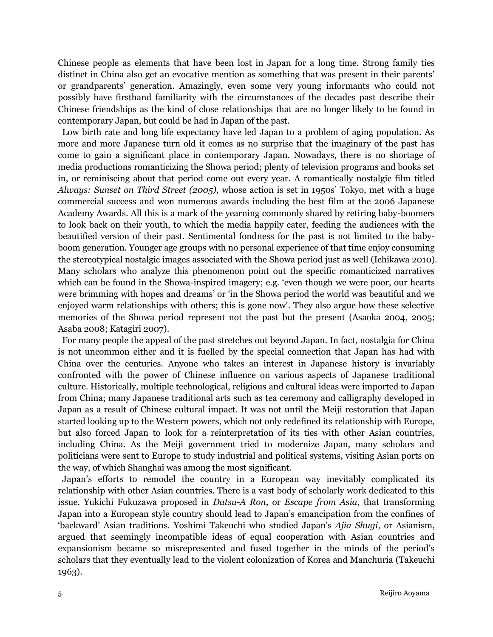Chinese people as elements that have been lost in Japan for a long time. Strong family ties distinct in China also get an evocative mention as something that was present in their parents' or grandparents' generation. Amazingly, even some very young informants who could not possibly have firsthand familiarity with the circumstances of the decades past describe their Chinese friendships as the kind of close relationships that are no longer likely to be found in contemporary Japan, but could be had in Japan of the past.

 Low birth rate and long life expectancy have led Japan to a problem of aging population. As more and more Japanese turn old it comes as no surprise that the imaginary of the past has come to gain a significant place in contemporary Japan. Nowadays, there is no shortage of media productions romanticizing the Showa period; plenty of television programs and books set in, or reminiscing about that period come out every year. A romantically nostalgic film titled *Always: Sunset on Third Street (2005),* whose action is set in 1950s' Tokyo, met with a huge commercial success and won numerous awards including the best film at the 2006 Japanese Academy Awards. All this is a mark of the yearning commonly shared by retiring baby-boomers to look back on their youth, to which the media happily cater, feeding the audiences with the beautified version of their past. Sentimental fondness for the past is not limited to the babyboom generation. Younger age groups with no personal experience of that time enjoy consuming the stereotypical nostalgic images associated with the Showa period just as well (Ichikawa 2010). Many scholars who analyze this phenomenon point out the specific romanticized narratives which can be found in the Showa-inspired imagery; e.g. 'even though we were poor, our hearts were brimming with hopes and dreams' or 'in the Showa period the world was beautiful and we enjoyed warm relationships with others; this is gone now'. They also argue how these selective memories of the Showa period represent not the past but the present (Asaoka 2004, 2005; Asaba 2008; Katagiri 2007).

 For many people the appeal of the past stretches out beyond Japan. In fact, nostalgia for China is not uncommon either and it is fuelled by the special connection that Japan has had with China over the centuries. Anyone who takes an interest in Japanese history is invariably confronted with the power of Chinese influence on various aspects of Japanese traditional culture. Historically, multiple technological, religious and cultural ideas were imported to Japan from China; many Japanese traditional arts such as tea ceremony and calligraphy developed in Japan as a result of Chinese cultural impact. It was not until the Meiji restoration that Japan started looking up to the Western powers, which not only redefined its relationship with Europe, but also forced Japan to look for a reinterpretation of its ties with other Asian countries, including China. As the Meiji government tried to modernize Japan, many scholars and politicians were sent to Europe to study industrial and political systems, visiting Asian ports on the way, of which Shanghai was among the most significant.

 Japan's efforts to remodel the country in a European way inevitably complicated its relationship with other Asian countries. There is a vast body of scholarly work dedicated to this issue. Yukichi Fukuzawa proposed in *Datsu-A Ron*, or *Escape from Asia*, that transforming Japan into a European style country should lead to Japan's emancipation from the confines of 'backward' Asian traditions. Yoshimi Takeuchi who studied Japan's *Ajia Shugi*, or Asianism, argued that seemingly incompatible ideas of equal cooperation with Asian countries and expansionism became so misrepresented and fused together in the minds of the period's scholars that they eventually lead to the violent colonization of Korea and Manchuria (Takeuchi 1963).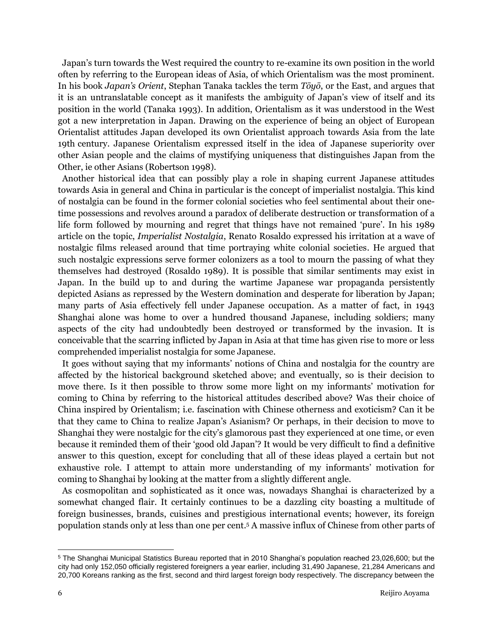Japan's turn towards the West required the country to re-examine its own position in the world often by referring to the European ideas of Asia, of which Orientalism was the most prominent. In his book *Japan's Orient*, Stephan Tanaka tackles the term *Tōyō*, or the East, and argues that it is an untranslatable concept as it manifests the ambiguity of Japan's view of itself and its position in the world (Tanaka 1993). In addition, Orientalism as it was understood in the West got a new interpretation in Japan. Drawing on the experience of being an object of European Orientalist attitudes Japan developed its own Orientalist approach towards Asia from the late 19th century. Japanese Orientalism expressed itself in the idea of Japanese superiority over other Asian people and the claims of mystifying uniqueness that distinguishes Japan from the Other, ie other Asians (Robertson 1998).

 Another historical idea that can possibly play a role in shaping current Japanese attitudes towards Asia in general and China in particular is the concept of imperialist nostalgia. This kind of nostalgia can be found in the former colonial societies who feel sentimental about their onetime possessions and revolves around a paradox of deliberate destruction or transformation of a life form followed by mourning and regret that things have not remained 'pure'. In his 1989 article on the topic, *Imperialist Nostalgia*, Renato Rosaldo expressed his irritation at a wave of nostalgic films released around that time portraying white colonial societies. He argued that such nostalgic expressions serve former colonizers as a tool to mourn the passing of what they themselves had destroyed (Rosaldo 1989). It is possible that similar sentiments may exist in Japan. In the build up to and during the wartime Japanese war propaganda persistently depicted Asians as repressed by the Western domination and desperate for liberation by Japan; many parts of Asia effectively fell under Japanese occupation. As a matter of fact, in 1943 Shanghai alone was home to over a hundred thousand Japanese, including soldiers; many aspects of the city had undoubtedly been destroyed or transformed by the invasion. It is conceivable that the scarring inflicted by Japan in Asia at that time has given rise to more or less comprehended imperialist nostalgia for some Japanese.

 It goes without saying that my informants' notions of China and nostalgia for the country are affected by the historical background sketched above; and eventually, so is their decision to move there. Is it then possible to throw some more light on my informants' motivation for coming to China by referring to the historical attitudes described above? Was their choice of China inspired by Orientalism; i.e. fascination with Chinese otherness and exoticism? Can it be that they came to China to realize Japan's Asianism? Or perhaps, in their decision to move to Shanghai they were nostalgic for the city's glamorous past they experienced at one time, or even because it reminded them of their 'good old Japan'? It would be very difficult to find a definitive answer to this question, except for concluding that all of these ideas played a certain but not exhaustive role. I attempt to attain more understanding of my informants' motivation for coming to Shanghai by looking at the matter from a slightly different angle.

 As cosmopolitan and sophisticated as it once was, nowadays Shanghai is characterized by a somewhat changed flair. It certainly continues to be a dazzling city boasting a multitude of foreign businesses, brands, cuisines and prestigious international events; however, its foreign population stands only at less than one per cent. <sup>5</sup> A massive influx of Chinese from other parts of

l

<sup>5</sup> The Shanghai Municipal Statistics Bureau reported that in 2010 Shanghai's population reached 23,026,600; but the city had only 152,050 officially registered foreigners a year earlier, including 31,490 Japanese, 21,284 Americans and 20,700 Koreans ranking as the first, second and third largest foreign body respectively. The discrepancy between the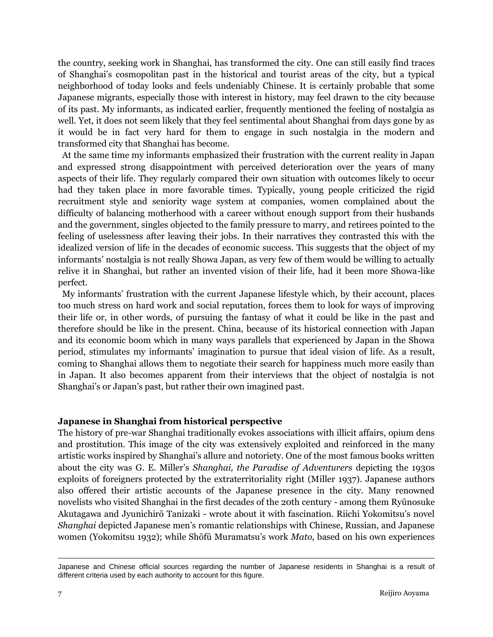the country, seeking work in Shanghai, has transformed the city. One can still easily find traces of Shanghai's cosmopolitan past in the historical and tourist areas of the city, but a typical neighborhood of today looks and feels undeniably Chinese. It is certainly probable that some Japanese migrants, especially those with interest in history, may feel drawn to the city because of its past. My informants, as indicated earlier, frequently mentioned the feeling of nostalgia as well. Yet, it does not seem likely that they feel sentimental about Shanghai from days gone by as it would be in fact very hard for them to engage in such nostalgia in the modern and transformed city that Shanghai has become.

 At the same time my informants emphasized their frustration with the current reality in Japan and expressed strong disappointment with perceived deterioration over the years of many aspects of their life. They regularly compared their own situation with outcomes likely to occur had they taken place in more favorable times. Typically, young people criticized the rigid recruitment style and seniority wage system at companies, women complained about the difficulty of balancing motherhood with a career without enough support from their husbands and the government, singles objected to the family pressure to marry, and retirees pointed to the feeling of uselessness after leaving their jobs. In their narratives they contrasted this with the idealized version of life in the decades of economic success. This suggests that the object of my informants' nostalgia is not really Showa Japan, as very few of them would be willing to actually relive it in Shanghai, but rather an invented vision of their life, had it been more Showa-like perfect.

 My informants' frustration with the current Japanese lifestyle which, by their account, places too much stress on hard work and social reputation, forces them to look for ways of improving their life or, in other words, of pursuing the fantasy of what it could be like in the past and therefore should be like in the present. China, because of its historical connection with Japan and its economic boom which in many ways parallels that experienced by Japan in the Showa period, stimulates my informants' imagination to pursue that ideal vision of life. As a result, coming to Shanghai allows them to negotiate their search for happiness much more easily than in Japan. It also becomes apparent from their interviews that the object of nostalgia is not Shanghai's or Japan's past, but rather their own imagined past.

## **Japanese in Shanghai from historical perspective**

The history of pre-war Shanghai traditionally evokes associations with illicit affairs, opium dens and prostitution. This image of the city was extensively exploited and reinforced in the many artistic works inspired by Shanghai's allure and notoriety. One of the most famous books written about the city was G. E. Miller's *Shanghai, the Paradise of Adventurers* depicting the 1930s exploits of foreigners protected by the extraterritoriality right (Miller 1937). Japanese authors also offered their artistic accounts of the Japanese presence in the city. Many renowned novelists who visited Shanghai in the first decades of the 20th century - among them Ryūnosuke Akutagawa and Jyunichirō Tanizaki - wrote about it with fascination. Riichi Yokomitsu's novel *Shanghai* depicted Japanese men's romantic relationships with Chinese, Russian, and Japanese women (Yokomitsu 1932); while Shōfū Muramatsu's work *Mato*, based on his own experiences

 $\overline{a}$ 

Japanese and Chinese official sources regarding the number of Japanese residents in Shanghai is a result of different criteria used by each authority to account for this figure.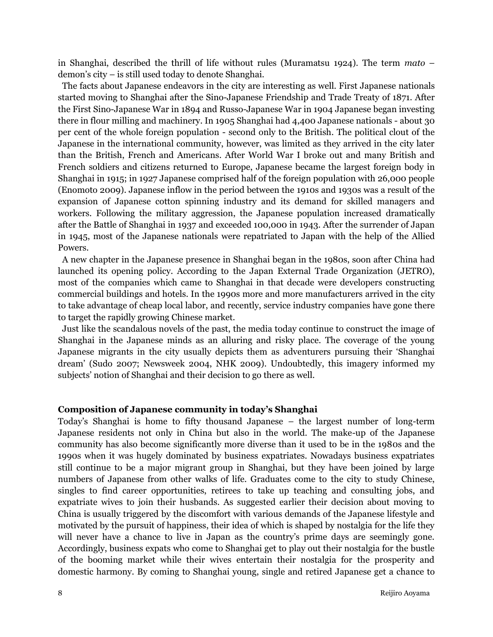in Shanghai, described the thrill of life without rules (Muramatsu 1924). The term *mato* – demon's city – is still used today to denote Shanghai.

 The facts about Japanese endeavors in the city are interesting as well. First Japanese nationals started moving to Shanghai after the Sino-Japanese Friendship and Trade Treaty of 1871. After the First Sino-Japanese War in 1894 and Russo-Japanese War in 1904 Japanese began investing there in flour milling and machinery. In 1905 Shanghai had 4,400 Japanese nationals - about 30 per cent of the whole foreign population - second only to the British. The political clout of the Japanese in the international community, however, was limited as they arrived in the city later than the British, French and Americans. After World War I broke out and many British and French soldiers and citizens returned to Europe, Japanese became the largest foreign body in Shanghai in 1915; in 1927 Japanese comprised half of the foreign population with 26,000 people (Enomoto 2009). Japanese inflow in the period between the 1910s and 1930s was a result of the expansion of Japanese cotton spinning industry and its demand for skilled managers and workers. Following the military aggression, the Japanese population increased dramatically after the Battle of Shanghai in 1937 and exceeded 100,000 in 1943. After the surrender of Japan in 1945, most of the Japanese nationals were repatriated to Japan with the help of the Allied Powers.

 A new chapter in the Japanese presence in Shanghai began in the 1980s, soon after China had launched its opening policy. According to the Japan External Trade Organization (JETRO), most of the companies which came to Shanghai in that decade were developers constructing commercial buildings and hotels. In the 1990s more and more manufacturers arrived in the city to take advantage of cheap local labor, and recently, service industry companies have gone there to target the rapidly growing Chinese market.

 Just like the scandalous novels of the past, the media today continue to construct the image of Shanghai in the Japanese minds as an alluring and risky place. The coverage of the young Japanese migrants in the city usually depicts them as adventurers pursuing their 'Shanghai dream' (Sudo 2007; Newsweek 2004, NHK 2009). Undoubtedly, this imagery informed my subjects' notion of Shanghai and their decision to go there as well.

#### **Composition of Japanese community in today's Shanghai**

Today's Shanghai is home to fifty thousand Japanese – the largest number of long-term Japanese residents not only in China but also in the world. The make-up of the Japanese community has also become significantly more diverse than it used to be in the 1980s and the 1990s when it was hugely dominated by business expatriates. Nowadays business expatriates still continue to be a major migrant group in Shanghai, but they have been joined by large numbers of Japanese from other walks of life. Graduates come to the city to study Chinese, singles to find career opportunities, retirees to take up teaching and consulting jobs, and expatriate wives to join their husbands. As suggested earlier their decision about moving to China is usually triggered by the discomfort with various demands of the Japanese lifestyle and motivated by the pursuit of happiness, their idea of which is shaped by nostalgia for the life they will never have a chance to live in Japan as the country's prime days are seemingly gone. Accordingly, business expats who come to Shanghai get to play out their nostalgia for the bustle of the booming market while their wives entertain their nostalgia for the prosperity and domestic harmony. By coming to Shanghai young, single and retired Japanese get a chance to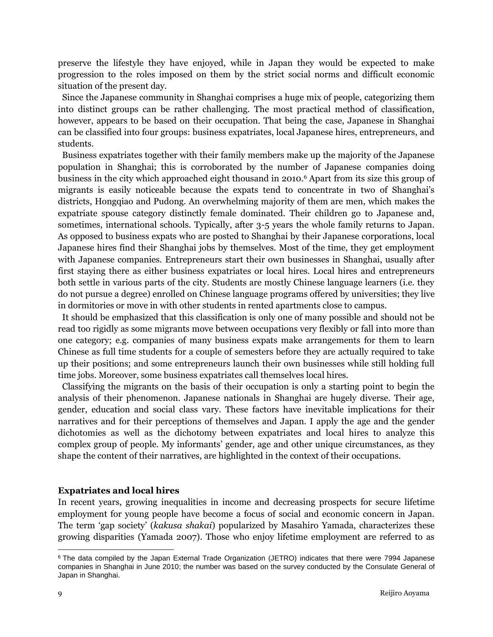preserve the lifestyle they have enjoyed, while in Japan they would be expected to make progression to the roles imposed on them by the strict social norms and difficult economic situation of the present day.

 Since the Japanese community in Shanghai comprises a huge mix of people, categorizing them into distinct groups can be rather challenging. The most practical method of classification, however, appears to be based on their occupation. That being the case, Japanese in Shanghai can be classified into four groups: business expatriates, local Japanese hires, entrepreneurs, and students.

 Business expatriates together with their family members make up the majority of the Japanese population in Shanghai; this is corroborated by the number of Japanese companies doing business in the city which approached eight thousand in 2010.<sup>6</sup> Apart from its size this group of migrants is easily noticeable because the expats tend to concentrate in two of Shanghai's districts, Hongqiao and Pudong. An overwhelming majority of them are men, which makes the expatriate spouse category distinctly female dominated. Their children go to Japanese and, sometimes, international schools. Typically, after 3-5 years the whole family returns to Japan. As opposed to business expats who are posted to Shanghai by their Japanese corporations, local Japanese hires find their Shanghai jobs by themselves. Most of the time, they get employment with Japanese companies. Entrepreneurs start their own businesses in Shanghai, usually after first staying there as either business expatriates or local hires. Local hires and entrepreneurs both settle in various parts of the city. Students are mostly Chinese language learners (i.e. they do not pursue a degree) enrolled on Chinese language programs offered by universities; they live in dormitories or move in with other students in rented apartments close to campus.

 It should be emphasized that this classification is only one of many possible and should not be read too rigidly as some migrants move between occupations very flexibly or fall into more than one category; e.g. companies of many business expats make arrangements for them to learn Chinese as full time students for a couple of semesters before they are actually required to take up their positions; and some entrepreneurs launch their own businesses while still holding full time jobs. Moreover, some business expatriates call themselves local hires.

 Classifying the migrants on the basis of their occupation is only a starting point to begin the analysis of their phenomenon. Japanese nationals in Shanghai are hugely diverse. Their age, gender, education and social class vary. These factors have inevitable implications for their narratives and for their perceptions of themselves and Japan. I apply the age and the gender dichotomies as well as the dichotomy between expatriates and local hires to analyze this complex group of people. My informants' gender, age and other unique circumstances, as they shape the content of their narratives, are highlighted in the context of their occupations.

## **Expatriates and local hires**

In recent years, growing inequalities in income and decreasing prospects for secure lifetime employment for young people have become a focus of social and economic concern in Japan. The term 'gap society' (*kakusa shakai*) popularized by Masahiro Yamada, characterizes these growing disparities (Yamada 2007). Those who enjoy lifetime employment are referred to as

l

<sup>6</sup> The data compiled by the Japan External Trade Organization (JETRO) indicates that there were 7994 Japanese companies in Shanghai in June 2010; the number was based on the survey conducted by the Consulate General of Japan in Shanghai.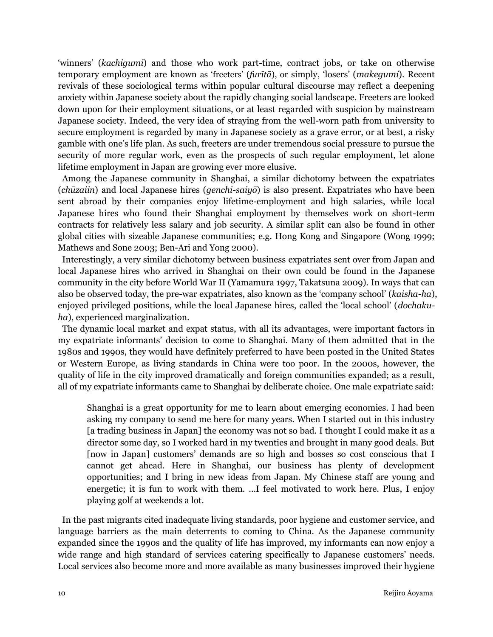'winners' (*kachigumi*) and those who work part-time, contract jobs, or take on otherwise temporary employment are known as 'freeters' (*furītā*), or simply, 'losers' (*makegumi*). Recent revivals of these sociological terms within popular cultural discourse may reflect a deepening anxiety within Japanese society about the rapidly changing social landscape. Freeters are looked down upon for their employment situations, or at least regarded with suspicion by mainstream Japanese society. Indeed, the very idea of straying from the well-worn path from university to secure employment is regarded by many in Japanese society as a grave error, or at best, a risky gamble with one's life plan. As such, freeters are under tremendous social pressure to pursue the security of more regular work, even as the prospects of such regular employment, let alone lifetime employment in Japan are growing ever more elusive.

 Among the Japanese community in Shanghai, a similar dichotomy between the expatriates (*chūzaiin*) and local Japanese hires (*genchi-saiyō*) is also present. Expatriates who have been sent abroad by their companies enjoy lifetime-employment and high salaries, while local Japanese hires who found their Shanghai employment by themselves work on short-term contracts for relatively less salary and job security. A similar split can also be found in other global cities with sizeable Japanese communities; e.g. Hong Kong and Singapore (Wong 1999; Mathews and Sone 2003; Ben-Ari and Yong 2000).

 Interestingly, a very similar dichotomy between business expatriates sent over from Japan and local Japanese hires who arrived in Shanghai on their own could be found in the Japanese community in the city before World War II (Yamamura 1997, Takatsuna 2009). In ways that can also be observed today, the pre-war expatriates, also known as the 'company school' (*kaisha-ha*), enjoyed privileged positions, while the local Japanese hires, called the 'local school' (*dochakuha*), experienced marginalization.

 The dynamic local market and expat status, with all its advantages, were important factors in my expatriate informants' decision to come to Shanghai. Many of them admitted that in the 1980s and 1990s, they would have definitely preferred to have been posted in the United States or Western Europe, as living standards in China were too poor. In the 2000s, however, the quality of life in the city improved dramatically and foreign communities expanded; as a result, all of my expatriate informants came to Shanghai by deliberate choice. One male expatriate said:

Shanghai is a great opportunity for me to learn about emerging economies. I had been asking my company to send me here for many years. When I started out in this industry [a trading business in Japan] the economy was not so bad. I thought I could make it as a director some day, so I worked hard in my twenties and brought in many good deals. But [now in Japan] customers' demands are so high and bosses so cost conscious that I cannot get ahead. Here in Shanghai, our business has plenty of development opportunities; and I bring in new ideas from Japan. My Chinese staff are young and energetic; it is fun to work with them. …I feel motivated to work here. Plus, I enjoy playing golf at weekends a lot.

 In the past migrants cited inadequate living standards, poor hygiene and customer service, and language barriers as the main deterrents to coming to China. As the Japanese community expanded since the 1990s and the quality of life has improved, my informants can now enjoy a wide range and high standard of services catering specifically to Japanese customers' needs. Local services also become more and more available as many businesses improved their hygiene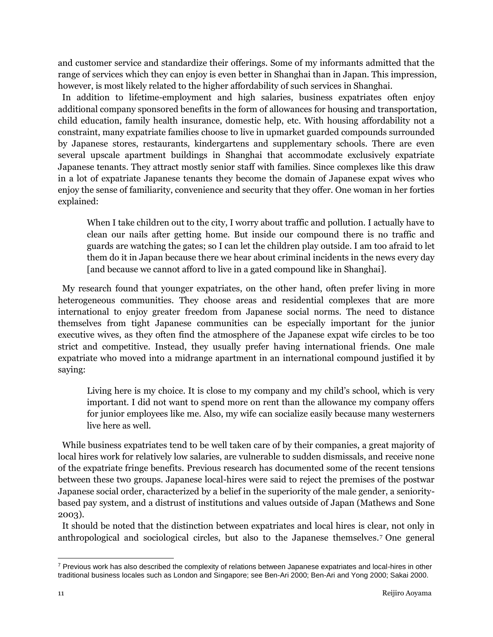and customer service and standardize their offerings. Some of my informants admitted that the range of services which they can enjoy is even better in Shanghai than in Japan. This impression, however, is most likely related to the higher affordability of such services in Shanghai.

 In addition to lifetime-employment and high salaries, business expatriates often enjoy additional company sponsored benefits in the form of allowances for housing and transportation, child education, family health insurance, domestic help, etc. With housing affordability not a constraint, many expatriate families choose to live in upmarket guarded compounds surrounded by Japanese stores, restaurants, kindergartens and supplementary schools. There are even several upscale apartment buildings in Shanghai that accommodate exclusively expatriate Japanese tenants. They attract mostly senior staff with families. Since complexes like this draw in a lot of expatriate Japanese tenants they become the domain of Japanese expat wives who enjoy the sense of familiarity, convenience and security that they offer. One woman in her forties explained:

When I take children out to the city, I worry about traffic and pollution. I actually have to clean our nails after getting home. But inside our compound there is no traffic and guards are watching the gates; so I can let the children play outside. I am too afraid to let them do it in Japan because there we hear about criminal incidents in the news every day [and because we cannot afford to live in a gated compound like in Shanghai].

 My research found that younger expatriates, on the other hand, often prefer living in more heterogeneous communities. They choose areas and residential complexes that are more international to enjoy greater freedom from Japanese social norms. The need to distance themselves from tight Japanese communities can be especially important for the junior executive wives, as they often find the atmosphere of the Japanese expat wife circles to be too strict and competitive. Instead, they usually prefer having international friends. One male expatriate who moved into a midrange apartment in an international compound justified it by saying:

Living here is my choice. It is close to my company and my child's school, which is very important. I did not want to spend more on rent than the allowance my company offers for junior employees like me. Also, my wife can socialize easily because many westerners live here as well.

 While business expatriates tend to be well taken care of by their companies, a great majority of local hires work for relatively low salaries, are vulnerable to sudden dismissals, and receive none of the expatriate fringe benefits. Previous research has documented some of the recent tensions between these two groups. Japanese local-hires were said to reject the premises of the postwar Japanese social order, characterized by a belief in the superiority of the male gender, a senioritybased pay system, and a distrust of institutions and values outside of Japan (Mathews and Sone 2003).

 It should be noted that the distinction between expatriates and local hires is clear, not only in anthropological and sociological circles, but also to the Japanese themselves.<sup>7</sup> One general

 $\overline{a}$ 

 $7$  Previous work has also described the complexity of relations between Japanese expatriates and local-hires in other traditional business locales such as London and Singapore; see Ben-Ari 2000; Ben-Ari and Yong 2000; Sakai 2000.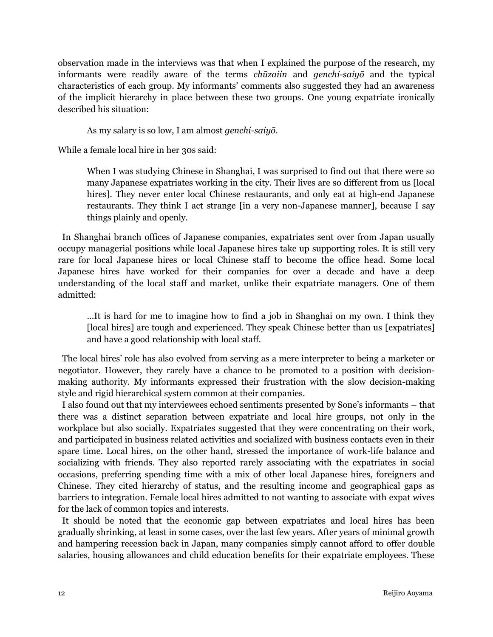observation made in the interviews was that when I explained the purpose of the research, my informants were readily aware of the terms *chūzaiin* and *genchi-saiyō* and the typical characteristics of each group. My informants' comments also suggested they had an awareness of the implicit hierarchy in place between these two groups. One young expatriate ironically described his situation:

As my salary is so low, I am almost *genchi-saiyō*.

While a female local hire in her 30s said:

When I was studying Chinese in Shanghai, I was surprised to find out that there were so many Japanese expatriates working in the city. Their lives are so different from us [local hires]. They never enter local Chinese restaurants, and only eat at high-end Japanese restaurants. They think I act strange [in a very non-Japanese manner], because I say things plainly and openly.

 In Shanghai branch offices of Japanese companies, expatriates sent over from Japan usually occupy managerial positions while local Japanese hires take up supporting roles. It is still very rare for local Japanese hires or local Chinese staff to become the office head. Some local Japanese hires have worked for their companies for over a decade and have a deep understanding of the local staff and market, unlike their expatriate managers. One of them admitted:

…It is hard for me to imagine how to find a job in Shanghai on my own. I think they [local hires] are tough and experienced. They speak Chinese better than us [expatriates] and have a good relationship with local staff.

 The local hires' role has also evolved from serving as a mere interpreter to being a marketer or negotiator. However, they rarely have a chance to be promoted to a position with decisionmaking authority. My informants expressed their frustration with the slow decision-making style and rigid hierarchical system common at their companies.

 I also found out that my interviewees echoed sentiments presented by Sone's informants – that there was a distinct separation between expatriate and local hire groups, not only in the workplace but also socially. Expatriates suggested that they were concentrating on their work, and participated in business related activities and socialized with business contacts even in their spare time. Local hires, on the other hand, stressed the importance of work-life balance and socializing with friends. They also reported rarely associating with the expatriates in social occasions, preferring spending time with a mix of other local Japanese hires, foreigners and Chinese. They cited hierarchy of status, and the resulting income and geographical gaps as barriers to integration. Female local hires admitted to not wanting to associate with expat wives for the lack of common topics and interests.

 It should be noted that the economic gap between expatriates and local hires has been gradually shrinking, at least in some cases, over the last few years. After years of minimal growth and hampering recession back in Japan, many companies simply cannot afford to offer double salaries, housing allowances and child education benefits for their expatriate employees. These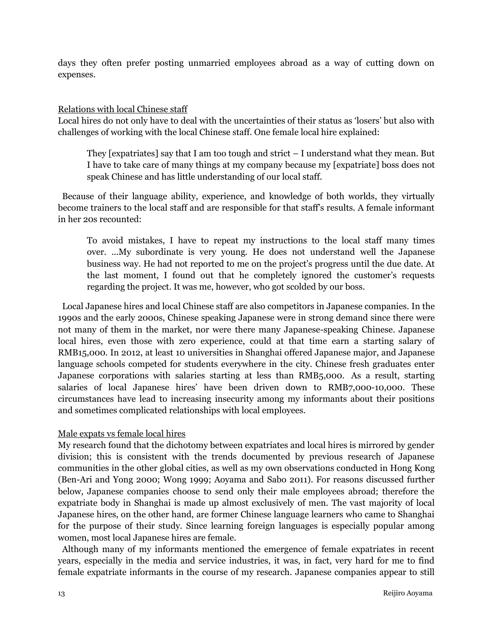days they often prefer posting unmarried employees abroad as a way of cutting down on expenses.

#### Relations with local Chinese staff

Local hires do not only have to deal with the uncertainties of their status as 'losers' but also with challenges of working with the local Chinese staff. One female local hire explained:

They  $[expatriates]$  say that I am too tough and strict  $-1$  understand what they mean. But I have to take care of many things at my company because my [expatriate] boss does not speak Chinese and has little understanding of our local staff.

 Because of their language ability, experience, and knowledge of both worlds, they virtually become trainers to the local staff and are responsible for that staff's results. A female informant in her 20s recounted:

To avoid mistakes, I have to repeat my instructions to the local staff many times over. ...My subordinate is very young. He does not understand well the Japanese business way. He had not reported to me on the project's progress until the due date. At the last moment, I found out that he completely ignored the customer's requests regarding the project. It was me, however, who got scolded by our boss.

 Local Japanese hires and local Chinese staff are also competitors in Japanese companies. In the 1990s and the early 2000s, Chinese speaking Japanese were in strong demand since there were not many of them in the market, nor were there many Japanese-speaking Chinese. Japanese local hires, even those with zero experience, could at that time earn a starting salary of RMB15,000. In 2012, at least 10 universities in Shanghai offered Japanese major, and Japanese language schools competed for students everywhere in the city. Chinese fresh graduates enter Japanese corporations with salaries starting at less than RMB5,000. As a result, starting salaries of local Japanese hires' have been driven down to RMB7,000-10,000. These circumstances have lead to increasing insecurity among my informants about their positions and sometimes complicated relationships with local employees.

## Male expats vs female local hires

My research found that the dichotomy between expatriates and local hires is mirrored by gender division; this is consistent with the trends documented by previous research of Japanese communities in the other global cities, as well as my own observations conducted in Hong Kong (Ben-Ari and Yong 2000; Wong 1999; Aoyama and Sabo 2011). For reasons discussed further below, Japanese companies choose to send only their male employees abroad; therefore the expatriate body in Shanghai is made up almost exclusively of men. The vast majority of local Japanese hires, on the other hand, are former Chinese language learners who came to Shanghai for the purpose of their study. Since learning foreign languages is especially popular among women, most local Japanese hires are female.

 Although many of my informants mentioned the emergence of female expatriates in recent years, especially in the media and service industries, it was, in fact, very hard for me to find female expatriate informants in the course of my research. Japanese companies appear to still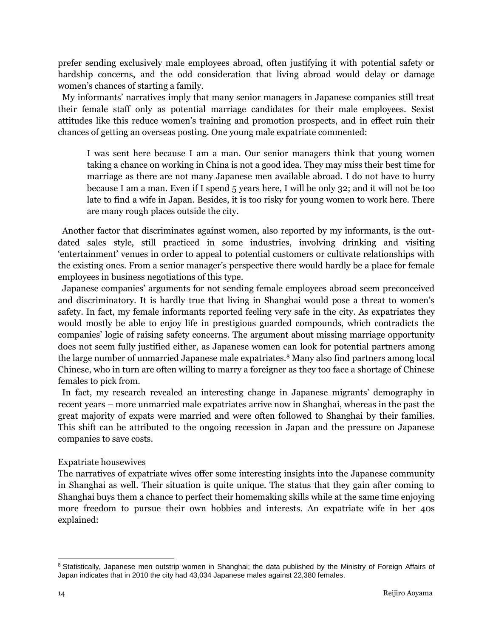prefer sending exclusively male employees abroad, often justifying it with potential safety or hardship concerns, and the odd consideration that living abroad would delay or damage women's chances of starting a family.

My informants' narratives imply that many senior managers in Japanese companies still treat their female staff only as potential marriage candidates for their male employees. Sexist attitudes like this reduce women's training and promotion prospects, and in effect ruin their chances of getting an overseas posting. One young male expatriate commented:

I was sent here because I am a man. Our senior managers think that young women taking a chance on working in China is not a good idea. They may miss their best time for marriage as there are not many Japanese men available abroad. I do not have to hurry because I am a man. Even if I spend 5 years here, I will be only 32; and it will not be too late to find a wife in Japan. Besides, it is too risky for young women to work here. There are many rough places outside the city.

 Another factor that discriminates against women, also reported by my informants, is the outdated sales style, still practiced in some industries, involving drinking and visiting 'entertainment' venues in order to appeal to potential customers or cultivate relationships with the existing ones. From a senior manager's perspective there would hardly be a place for female employees in business negotiations of this type.

 Japanese companies' arguments for not sending female employees abroad seem preconceived and discriminatory. It is hardly true that living in Shanghai would pose a threat to women's safety. In fact, my female informants reported feeling very safe in the city. As expatriates they would mostly be able to enjoy life in prestigious guarded compounds, which contradicts the companies' logic of raising safety concerns. The argument about missing marriage opportunity does not seem fully justified either, as Japanese women can look for potential partners among the large number of unmarried Japanese male expatriates.<sup>8</sup> Many also find partners among local Chinese, who in turn are often willing to marry a foreigner as they too face a shortage of Chinese females to pick from.

 In fact, my research revealed an interesting change in Japanese migrants' demography in recent years – more unmarried male expatriates arrive now in Shanghai, whereas in the past the great majority of expats were married and were often followed to Shanghai by their families. This shift can be attributed to the ongoing recession in Japan and the pressure on Japanese companies to save costs.

## Expatriate housewives

The narratives of expatriate wives offer some interesting insights into the Japanese community in Shanghai as well. Their situation is quite unique. The status that they gain after coming to Shanghai buys them a chance to perfect their homemaking skills while at the same time enjoying more freedom to pursue their own hobbies and interests. An expatriate wife in her 40s explained:

 $\overline{a}$ 

<sup>&</sup>lt;sup>8</sup> Statistically, Japanese men outstrip women in Shanghai; the data published by the Ministry of Foreign Affairs of Japan indicates that in 2010 the city had 43,034 Japanese males against 22,380 females.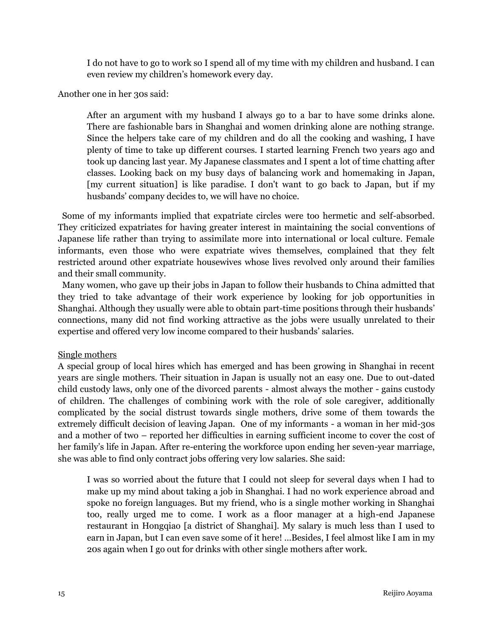I do not have to go to work so I spend all of my time with my children and husband. I can even review my children's homework every day.

Another one in her 30s said:

After an argument with my husband I always go to a bar to have some drinks alone. There are fashionable bars in Shanghai and women drinking alone are nothing strange. Since the helpers take care of my children and do all the cooking and washing, I have plenty of time to take up different courses. I started learning French two years ago and took up dancing last year. My Japanese classmates and I spent a lot of time chatting after classes. Looking back on my busy days of balancing work and homemaking in Japan, [my current situation] is like paradise. I don't want to go back to Japan, but if my husbands' company decides to, we will have no choice.

 Some of my informants implied that expatriate circles were too hermetic and self-absorbed. They criticized expatriates for having greater interest in maintaining the social conventions of Japanese life rather than trying to assimilate more into international or local culture. Female informants, even those who were expatriate wives themselves, complained that they felt restricted around other expatriate housewives whose lives revolved only around their families and their small community.

 Many women, who gave up their jobs in Japan to follow their husbands to China admitted that they tried to take advantage of their work experience by looking for job opportunities in Shanghai. Although they usually were able to obtain part-time positions through their husbands' connections, many did not find working attractive as the jobs were usually unrelated to their expertise and offered very low income compared to their husbands' salaries.

## Single mothers

A special group of local hires which has emerged and has been growing in Shanghai in recent years are single mothers. Their situation in Japan is usually not an easy one. Due to out-dated child custody laws, only one of the divorced parents - almost always the mother - gains custody of children. The challenges of combining work with the role of sole caregiver, additionally complicated by the social distrust towards single mothers, drive some of them towards the extremely difficult decision of leaving Japan. One of my informants - a woman in her mid-30s and a mother of two – reported her difficulties in earning sufficient income to cover the cost of her family's life in Japan. After re-entering the workforce upon ending her seven-year marriage, she was able to find only contract jobs offering very low salaries. She said:

I was so worried about the future that I could not sleep for several days when I had to make up my mind about taking a job in Shanghai. I had no work experience abroad and spoke no foreign languages. But my friend, who is a single mother working in Shanghai too, really urged me to come. I work as a floor manager at a high-end Japanese restaurant in Hongqiao [a district of Shanghai]. My salary is much less than I used to earn in Japan, but I can even save some of it here! …Besides, I feel almost like I am in my 20s again when I go out for drinks with other single mothers after work.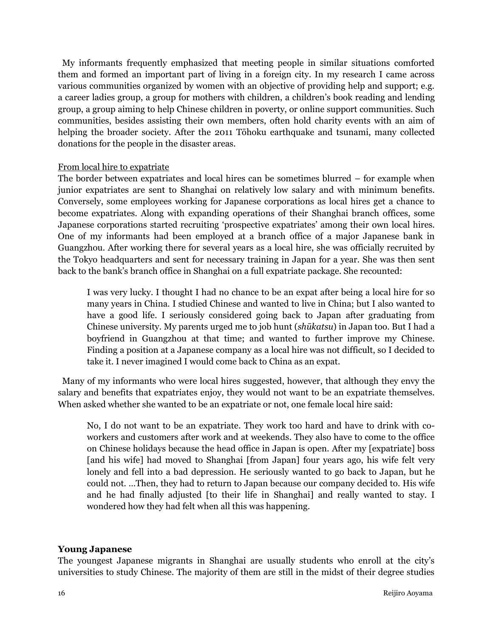My informants frequently emphasized that meeting people in similar situations comforted them and formed an important part of living in a foreign city. In my research I came across various communities organized by women with an objective of providing help and support; e.g. a career ladies group, a group for mothers with children, a children's book reading and lending group, a group aiming to help Chinese children in poverty, or online support communities. Such communities, besides assisting their own members, often hold charity events with an aim of helping the broader society. After the 2011 Tōhoku earthquake and tsunami, many collected donations for the people in the disaster areas.

#### From local hire to expatriate

The border between expatriates and local hires can be sometimes blurred – for example when junior expatriates are sent to Shanghai on relatively low salary and with minimum benefits. Conversely, some employees working for Japanese corporations as local hires get a chance to become expatriates. Along with expanding operations of their Shanghai branch offices, some Japanese corporations started recruiting 'prospective expatriates' among their own local hires. One of my informants had been employed at a branch office of a major Japanese bank in Guangzhou. After working there for several years as a local hire, she was officially recruited by the Tokyo headquarters and sent for necessary training in Japan for a year. She was then sent back to the bank's branch office in Shanghai on a full expatriate package. She recounted:

I was very lucky. I thought I had no chance to be an expat after being a local hire for so many years in China. I studied Chinese and wanted to live in China; but I also wanted to have a good life. I seriously considered going back to Japan after graduating from Chinese university. My parents urged me to job hunt (*shūkatsu*) in Japan too. But I had a boyfriend in Guangzhou at that time; and wanted to further improve my Chinese. Finding a position at a Japanese company as a local hire was not difficult, so I decided to take it. I never imagined I would come back to China as an expat.

 Many of my informants who were local hires suggested, however, that although they envy the salary and benefits that expatriates enjoy, they would not want to be an expatriate themselves. When asked whether she wanted to be an expatriate or not, one female local hire said:

No, I do not want to be an expatriate. They work too hard and have to drink with coworkers and customers after work and at weekends. They also have to come to the office on Chinese holidays because the head office in Japan is open. After my [expatriate] boss [and his wife] had moved to Shanghai [from Japan] four years ago, his wife felt very lonely and fell into a bad depression. He seriously wanted to go back to Japan, but he could not. …Then, they had to return to Japan because our company decided to. His wife and he had finally adjusted [to their life in Shanghai] and really wanted to stay. I wondered how they had felt when all this was happening.

## **Young Japanese**

The youngest Japanese migrants in Shanghai are usually students who enroll at the city's universities to study Chinese. The majority of them are still in the midst of their degree studies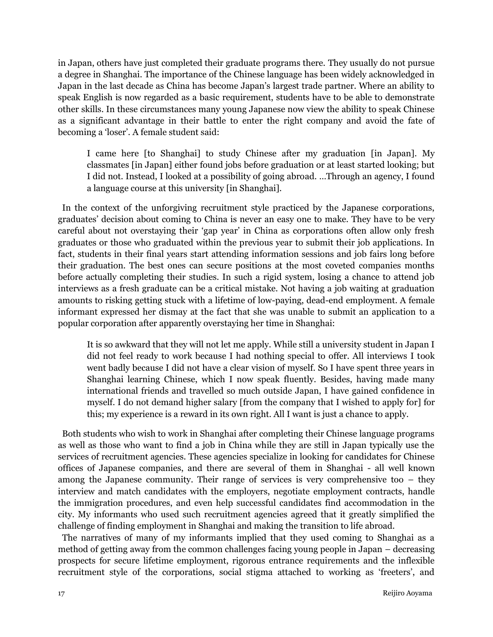in Japan, others have just completed their graduate programs there. They usually do not pursue a degree in Shanghai. The importance of the Chinese language has been widely acknowledged in Japan in the last decade as China has become Japan's largest trade partner. Where an ability to speak English is now regarded as a basic requirement, students have to be able to demonstrate other skills. In these circumstances many young Japanese now view the ability to speak Chinese as a significant advantage in their battle to enter the right company and avoid the fate of becoming a 'loser'. A female student said:

I came here [to Shanghai] to study Chinese after my graduation [in Japan]. My classmates [in Japan] either found jobs before graduation or at least started looking; but I did not. Instead, I looked at a possibility of going abroad. …Through an agency, I found a language course at this university [in Shanghai].

 In the context of the unforgiving recruitment style practiced by the Japanese corporations, graduates' decision about coming to China is never an easy one to make. They have to be very careful about not overstaying their 'gap year' in China as corporations often allow only fresh graduates or those who graduated within the previous year to submit their job applications. In fact, students in their final years start attending information sessions and job fairs long before their graduation. The best ones can secure positions at the most coveted companies months before actually completing their studies. In such a rigid system, losing a chance to attend job interviews as a fresh graduate can be a critical mistake. Not having a job waiting at graduation amounts to risking getting stuck with a lifetime of low-paying, dead-end employment. A female informant expressed her dismay at the fact that she was unable to submit an application to a popular corporation after apparently overstaying her time in Shanghai:

It is so awkward that they will not let me apply. While still a university student in Japan I did not feel ready to work because I had nothing special to offer. All interviews I took went badly because I did not have a clear vision of myself. So I have spent three years in Shanghai learning Chinese, which I now speak fluently. Besides, having made many international friends and travelled so much outside Japan, I have gained confidence in myself. I do not demand higher salary [from the company that I wished to apply for] for this; my experience is a reward in its own right. All I want is just a chance to apply.

 Both students who wish to work in Shanghai after completing their Chinese language programs as well as those who want to find a job in China while they are still in Japan typically use the services of recruitment agencies. These agencies specialize in looking for candidates for Chinese offices of Japanese companies, and there are several of them in Shanghai - all well known among the Japanese community. Their range of services is very comprehensive too – they interview and match candidates with the employers, negotiate employment contracts, handle the immigration procedures, and even help successful candidates find accommodation in the city. My informants who used such recruitment agencies agreed that it greatly simplified the challenge of finding employment in Shanghai and making the transition to life abroad.

 The narratives of many of my informants implied that they used coming to Shanghai as a method of getting away from the common challenges facing young people in Japan – decreasing prospects for secure lifetime employment, rigorous entrance requirements and the inflexible recruitment style of the corporations, social stigma attached to working as 'freeters', and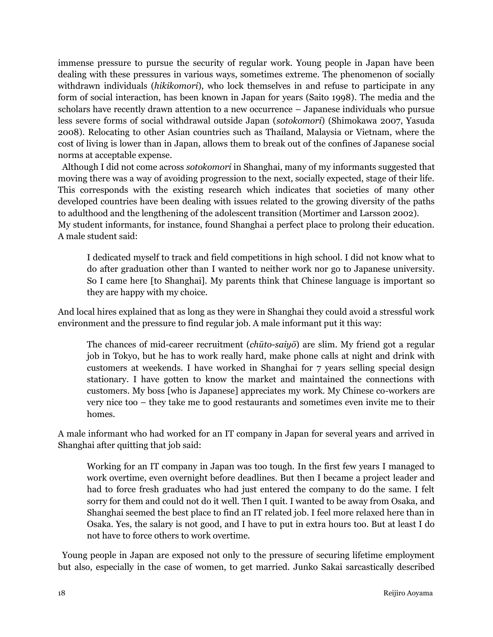immense pressure to pursue the security of regular work. Young people in Japan have been dealing with these pressures in various ways, sometimes extreme. The phenomenon of socially withdrawn individuals (*hikikomori*), who lock themselves in and refuse to participate in any form of social interaction, has been known in Japan for years (Saito 1998). The media and the scholars have recently drawn attention to a new occurrence – Japanese individuals who pursue less severe forms of social withdrawal outside Japan (*sotokomori*) (Shimokawa 2007, Yasuda 2008). Relocating to other Asian countries such as Thailand, Malaysia or Vietnam, where the cost of living is lower than in Japan, allows them to break out of the confines of Japanese social norms at acceptable expense.

 Although I did not come across *sotokomori* in Shanghai, many of my informants suggested that moving there was a way of avoiding progression to the next, socially expected, stage of their life. This corresponds with the existing research which indicates that societies of many other developed countries have been dealing with issues related to the growing diversity of the paths to adulthood and the lengthening of the adolescent transition (Mortimer and Larsson 2002). My student informants, for instance, found Shanghai a perfect place to prolong their education.

A male student said:

I dedicated myself to track and field competitions in high school. I did not know what to do after graduation other than I wanted to neither work nor go to Japanese university. So I came here [to Shanghai]. My parents think that Chinese language is important so they are happy with my choice.

And local hires explained that as long as they were in Shanghai they could avoid a stressful work environment and the pressure to find regular job. A male informant put it this way:

The chances of mid-career recruitment (*chūto-saiyō*) are slim. My friend got a regular job in Tokyo, but he has to work really hard, make phone calls at night and drink with customers at weekends. I have worked in Shanghai for 7 years selling special design stationary. I have gotten to know the market and maintained the connections with customers. My boss [who is Japanese] appreciates my work. My Chinese co-workers are very nice too – they take me to good restaurants and sometimes even invite me to their homes.

A male informant who had worked for an IT company in Japan for several years and arrived in Shanghai after quitting that job said:

Working for an IT company in Japan was too tough. In the first few years I managed to work overtime, even overnight before deadlines. But then I became a project leader and had to force fresh graduates who had just entered the company to do the same. I felt sorry for them and could not do it well. Then I quit. I wanted to be away from Osaka, and Shanghai seemed the best place to find an IT related job. I feel more relaxed here than in Osaka. Yes, the salary is not good, and I have to put in extra hours too. But at least I do not have to force others to work overtime.

 Young people in Japan are exposed not only to the pressure of securing lifetime employment but also, especially in the case of women, to get married. Junko Sakai sarcastically described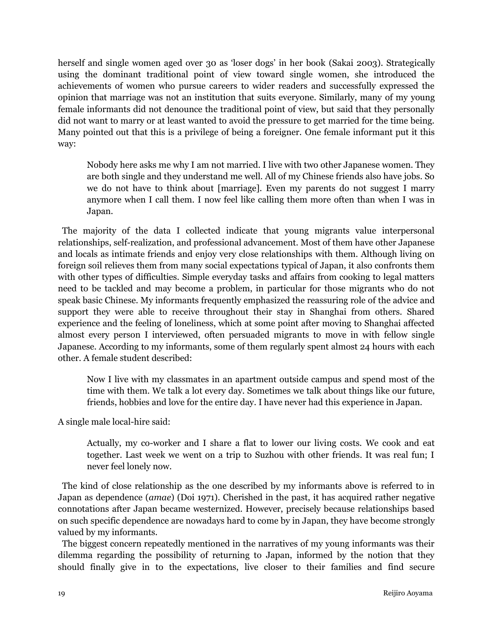herself and single women aged over 30 as 'loser dogs' in her book (Sakai 2003). Strategically using the dominant traditional point of view toward single women, she introduced the achievements of women who pursue careers to wider readers and successfully expressed the opinion that marriage was not an institution that suits everyone. Similarly, many of my young female informants did not denounce the traditional point of view, but said that they personally did not want to marry or at least wanted to avoid the pressure to get married for the time being. Many pointed out that this is a privilege of being a foreigner. One female informant put it this way:

Nobody here asks me why I am not married. I live with two other Japanese women. They are both single and they understand me well. All of my Chinese friends also have jobs. So we do not have to think about [marriage]. Even my parents do not suggest I marry anymore when I call them. I now feel like calling them more often than when I was in Japan.

 The majority of the data I collected indicate that young migrants value interpersonal relationships, self-realization, and professional advancement. Most of them have other Japanese and locals as intimate friends and enjoy very close relationships with them. Although living on foreign soil relieves them from many social expectations typical of Japan, it also confronts them with other types of difficulties. Simple everyday tasks and affairs from cooking to legal matters need to be tackled and may become a problem, in particular for those migrants who do not speak basic Chinese. My informants frequently emphasized the reassuring role of the advice and support they were able to receive throughout their stay in Shanghai from others. Shared experience and the feeling of loneliness, which at some point after moving to Shanghai affected almost every person I interviewed, often persuaded migrants to move in with fellow single Japanese. According to my informants, some of them regularly spent almost 24 hours with each other. A female student described:

Now I live with my classmates in an apartment outside campus and spend most of the time with them. We talk a lot every day. Sometimes we talk about things like our future, friends, hobbies and love for the entire day. I have never had this experience in Japan.

A single male local-hire said:

Actually, my co-worker and I share a flat to lower our living costs. We cook and eat together. Last week we went on a trip to Suzhou with other friends. It was real fun; I never feel lonely now.

 The kind of close relationship as the one described by my informants above is referred to in Japan as dependence (*amae*) (Doi 1971). Cherished in the past, it has acquired rather negative connotations after Japan became westernized. However, precisely because relationships based on such specific dependence are nowadays hard to come by in Japan, they have become strongly valued by my informants.

 The biggest concern repeatedly mentioned in the narratives of my young informants was their dilemma regarding the possibility of returning to Japan, informed by the notion that they should finally give in to the expectations, live closer to their families and find secure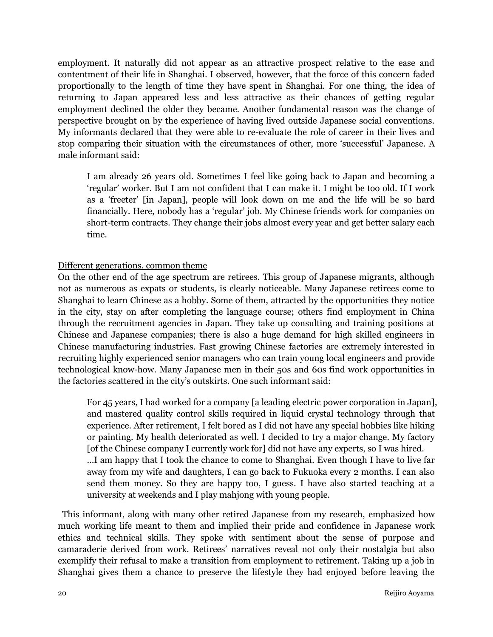employment. It naturally did not appear as an attractive prospect relative to the ease and contentment of their life in Shanghai. I observed, however, that the force of this concern faded proportionally to the length of time they have spent in Shanghai. For one thing, the idea of returning to Japan appeared less and less attractive as their chances of getting regular employment declined the older they became. Another fundamental reason was the change of perspective brought on by the experience of having lived outside Japanese social conventions. My informants declared that they were able to re-evaluate the role of career in their lives and stop comparing their situation with the circumstances of other, more 'successful' Japanese. A male informant said:

I am already 26 years old. Sometimes I feel like going back to Japan and becoming a 'regular' worker. But I am not confident that I can make it. I might be too old. If I work as a 'freeter' [in Japan], people will look down on me and the life will be so hard financially. Here, nobody has a 'regular' job. My Chinese friends work for companies on short-term contracts. They change their jobs almost every year and get better salary each time.

## Different generations, common theme

On the other end of the age spectrum are retirees. This group of Japanese migrants, although not as numerous as expats or students, is clearly noticeable. Many Japanese retirees come to Shanghai to learn Chinese as a hobby. Some of them, attracted by the opportunities they notice in the city, stay on after completing the language course; others find employment in China through the recruitment agencies in Japan. They take up consulting and training positions at Chinese and Japanese companies; there is also a huge demand for high skilled engineers in Chinese manufacturing industries. Fast growing Chinese factories are extremely interested in recruiting highly experienced senior managers who can train young local engineers and provide technological know-how. Many Japanese men in their 50s and 60s find work opportunities in the factories scattered in the city's outskirts. One such informant said:

For 45 years, I had worked for a company [a leading electric power corporation in Japan], and mastered quality control skills required in liquid crystal technology through that experience. After retirement, I felt bored as I did not have any special hobbies like hiking or painting. My health deteriorated as well. I decided to try a major change. My factory [of the Chinese company I currently work for] did not have any experts, so I was hired. …I am happy that I took the chance to come to Shanghai. Even though I have to live far away from my wife and daughters, I can go back to Fukuoka every 2 months. I can also send them money. So they are happy too, I guess. I have also started teaching at a university at weekends and I play mahjong with young people.

 This informant, along with many other retired Japanese from my research, emphasized how much working life meant to them and implied their pride and confidence in Japanese work ethics and technical skills. They spoke with sentiment about the sense of purpose and camaraderie derived from work. Retirees' narratives reveal not only their nostalgia but also exemplify their refusal to make a transition from employment to retirement. Taking up a job in Shanghai gives them a chance to preserve the lifestyle they had enjoyed before leaving the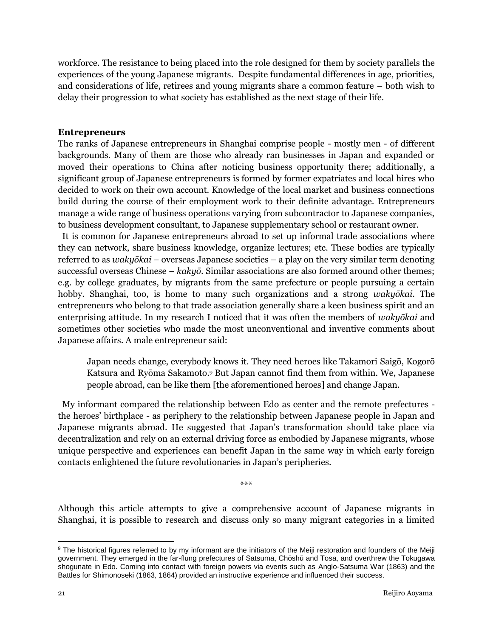workforce. The resistance to being placed into the role designed for them by society parallels the experiences of the young Japanese migrants. Despite fundamental differences in age, priorities, and considerations of life, retirees and young migrants share a common feature – both wish to delay their progression to what society has established as the next stage of their life.

## **Entrepreneurs**

The ranks of Japanese entrepreneurs in Shanghai comprise people - mostly men - of different backgrounds. Many of them are those who already ran businesses in Japan and expanded or moved their operations to China after noticing business opportunity there; additionally, a significant group of Japanese entrepreneurs is formed by former expatriates and local hires who decided to work on their own account. Knowledge of the local market and business connections build during the course of their employment work to their definite advantage. Entrepreneurs manage a wide range of business operations varying from subcontractor to Japanese companies, to business development consultant, to Japanese supplementary school or restaurant owner.

 It is common for Japanese entrepreneurs abroad to set up informal trade associations where they can network, share business knowledge, organize lectures; etc. These bodies are typically referred to as *wakyōkai* – overseas Japanese societies – a play on the very similar term denoting successful overseas Chinese – *kakyō*. Similar associations are also formed around other themes; e.g. by college graduates, by migrants from the same prefecture or people pursuing a certain hobby. Shanghai, too, is home to many such organizations and a strong *wakyōkai*. The entrepreneurs who belong to that trade association generally share a keen business spirit and an enterprising attitude. In my research I noticed that it was often the members of *wakyōkai* and sometimes other societies who made the most unconventional and inventive comments about Japanese affairs. A male entrepreneur said:

Japan needs change, everybody knows it. They need heroes like Takamori Saigō, Kogorō Katsura and Ryōma Sakamoto.<sup>9</sup> But Japan cannot find them from within. We, Japanese people abroad, can be like them [the aforementioned heroes] and change Japan.

 My informant compared the relationship between Edo as center and the remote prefectures the heroes' birthplace - as periphery to the relationship between Japanese people in Japan and Japanese migrants abroad. He suggested that Japan's transformation should take place via decentralization and rely on an external driving force as embodied by Japanese migrants, whose unique perspective and experiences can benefit Japan in the same way in which early foreign contacts enlightened the future revolutionaries in Japan's peripheries.

\*\*\*

Although this article attempts to give a comprehensive account of Japanese migrants in Shanghai, it is possible to research and discuss only so many migrant categories in a limited

 $\overline{\phantom{a}}$ <sup>9</sup> The historical figures referred to by my informant are the initiators of the Meiji restoration and founders of the Meiji government. They emerged in the far-flung prefectures of Satsuma, Chōshū and Tosa, and overthrew the Tokugawa shogunate in Edo. Coming into contact with foreign powers via events such as Anglo-Satsuma War (1863) and the Battles for Shimonoseki (1863, 1864) provided an instructive experience and influenced their success.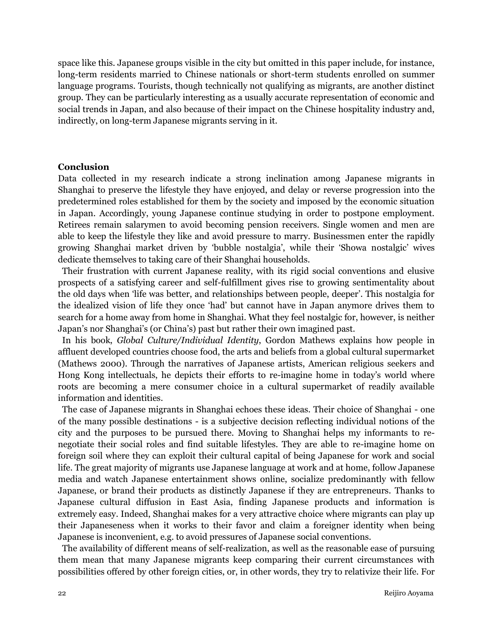space like this. Japanese groups visible in the city but omitted in this paper include, for instance, long-term residents married to Chinese nationals or short-term students enrolled on summer language programs. Tourists, though technically not qualifying as migrants, are another distinct group. They can be particularly interesting as a usually accurate representation of economic and social trends in Japan, and also because of their impact on the Chinese hospitality industry and, indirectly, on long-term Japanese migrants serving in it.

#### **Conclusion**

Data collected in my research indicate a strong inclination among Japanese migrants in Shanghai to preserve the lifestyle they have enjoyed, and delay or reverse progression into the predetermined roles established for them by the society and imposed by the economic situation in Japan. Accordingly, young Japanese continue studying in order to postpone employment. Retirees remain salarymen to avoid becoming pension receivers. Single women and men are able to keep the lifestyle they like and avoid pressure to marry. Businessmen enter the rapidly growing Shanghai market driven by 'bubble nostalgia', while their 'Showa nostalgic' wives dedicate themselves to taking care of their Shanghai households.

 Their frustration with current Japanese reality, with its rigid social conventions and elusive prospects of a satisfying career and self-fulfillment gives rise to growing sentimentality about the old days when 'life was better, and relationships between people, deeper'. This nostalgia for the idealized vision of life they once 'had' but cannot have in Japan anymore drives them to search for a home away from home in Shanghai. What they feel nostalgic for, however, is neither Japan's nor Shanghai's (or China's) past but rather their own imagined past.

 In his book, *Global Culture/Individual Identity*, Gordon Mathews explains how people in affluent developed countries choose food, the arts and beliefs from a global cultural supermarket (Mathews 2000). Through the narratives of Japanese artists, American religious seekers and Hong Kong intellectuals, he depicts their efforts to re-imagine home in today's world where roots are becoming a mere consumer choice in a cultural supermarket of readily available information and identities.

 The case of Japanese migrants in Shanghai echoes these ideas. Their choice of Shanghai - one of the many possible destinations - is a subjective decision reflecting individual notions of the city and the purposes to be pursued there. Moving to Shanghai helps my informants to renegotiate their social roles and find suitable lifestyles. They are able to re-imagine home on foreign soil where they can exploit their cultural capital of being Japanese for work and social life. The great majority of migrants use Japanese language at work and at home, follow Japanese media and watch Japanese entertainment shows online, socialize predominantly with fellow Japanese, or brand their products as distinctly Japanese if they are entrepreneurs. Thanks to Japanese cultural diffusion in East Asia, finding Japanese products and information is extremely easy. Indeed, Shanghai makes for a very attractive choice where migrants can play up their Japaneseness when it works to their favor and claim a foreigner identity when being Japanese is inconvenient, e.g. to avoid pressures of Japanese social conventions.

 The availability of different means of self-realization, as well as the reasonable ease of pursuing them mean that many Japanese migrants keep comparing their current circumstances with possibilities offered by other foreign cities, or, in other words, they try to relativize their life. For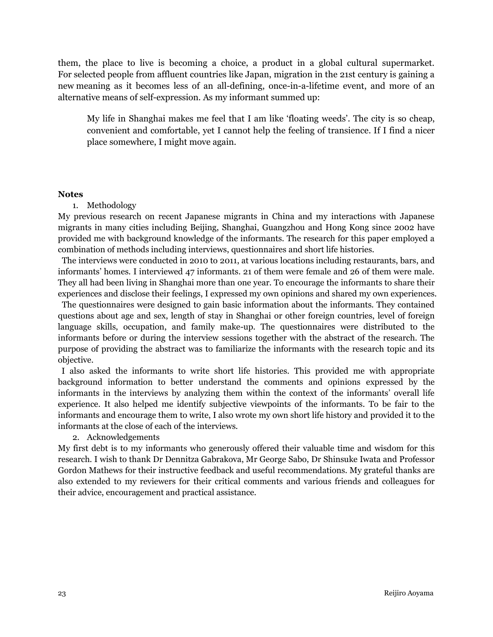them, the place to live is becoming a choice, a product in a global cultural supermarket. For selected people from affluent countries like Japan, migration in the 21st century is gaining a new meaning as it becomes less of an all-defining, once-in-a-lifetime event, and more of an alternative means of self-expression. As my informant summed up:

My life in Shanghai makes me feel that I am like 'floating weeds'. The city is so cheap, convenient and comfortable, yet I cannot help the feeling of transience. If I find a nicer place somewhere, I might move again.

#### **Notes**

## 1. Methodology

My previous research on recent Japanese migrants in China and my interactions with Japanese migrants in many cities including Beijing, Shanghai, Guangzhou and Hong Kong since 2002 have provided me with background knowledge of the informants. The research for this paper employed a combination of methods including interviews, questionnaires and short life histories.

 The interviews were conducted in 2010 to 2011, at various locations including restaurants, bars, and informants' homes. I interviewed 47 informants. 21 of them were female and 26 of them were male. They all had been living in Shanghai more than one year. To encourage the informants to share their experiences and disclose their feelings, I expressed my own opinions and shared my own experiences.

 The questionnaires were designed to gain basic information about the informants. They contained questions about age and sex, length of stay in Shanghai or other foreign countries, level of foreign language skills, occupation, and family make-up. The questionnaires were distributed to the informants before or during the interview sessions together with the abstract of the research. The purpose of providing the abstract was to familiarize the informants with the research topic and its objective.

I also asked the informants to write short life histories. This provided me with appropriate background information to better understand the comments and opinions expressed by the informants in the interviews by analyzing them within the context of the informants' overall life experience. It also helped me identify subjective viewpoints of the informants. To be fair to the informants and encourage them to write, I also wrote my own short life history and provided it to the informants at the close of each of the interviews.

## 2. Acknowledgements

My first debt is to my informants who generously offered their valuable time and wisdom for this research. I wish to thank Dr Dennitza Gabrakova, Mr George Sabo, Dr Shinsuke Iwata and Professor Gordon Mathews for their instructive feedback and useful recommendations. My grateful thanks are also extended to my reviewers for their critical comments and various friends and colleagues for their advice, encouragement and practical assistance.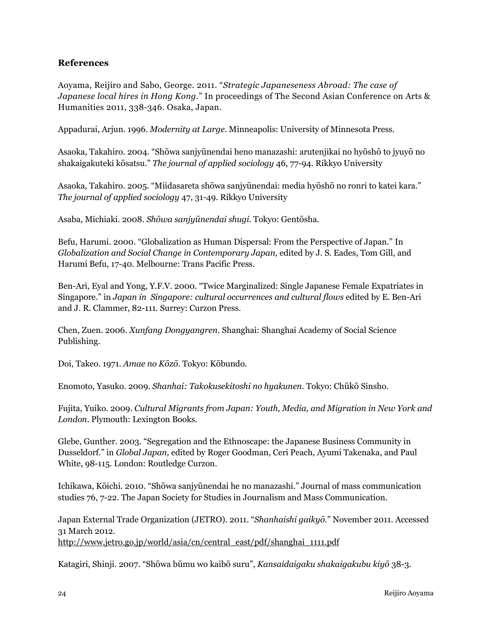## **References**

Aoyama, Reijiro and Sabo, George. 2011. "*Strategic Japaneseness Abroad: The case of Japanese local hires in Hong Kong.*" In proceedings of The Second Asian Conference on Arts & Humanities 2011, 338-346. Osaka, Japan.

Appadurai, Arjun. 1996. *Modernity at Large.* Minneapolis: University of Minnesota Press.

Asaoka, Takahiro. 2004. "Shōwa sanjyūnendai heno manazashi: arutenjikai no hyōshō to jyuyō no shakaigakuteki kōsatsu." *The journal of applied sociology* 46, 77-94. Rikkyo University

Asaoka, Takahiro. 2005. "Miidasareta shōwa sanjyūnendai: media hyōshō no ronri to katei kara." *The journal of applied sociology* 47, 31-49. Rikkyo University

Asaba, Michiaki. 2008. *Shōwa sanjyūnendai shugi*. Tokyo: Gentōsha.

Befu, Harumi. 2000. "Globalization as Human Dispersal: From the Perspective of Japan." In *Globalization and Social Change in Contemporary Japan*, edited by J. S. Eades, Tom Gill, and Harumi Befu, 17-40. Melbourne: Trans Pacific Press.

Ben-Ari, Eyal and Yong, Y.F.V. 2000. "Twice Marginalized: Single Japanese Female Expatriates in Singapore." in *Japan in Singapore: cultural occurrences and cultural flows* edited by E. Ben-Ari and J. R. Clammer, 82-111. Surrey: Curzon Press.

Chen, Zuen. 2006. *Xunfang Dongyangren*. Shanghai: Shanghai Academy of Social Science Publishing.

Doi, Takeo. 1971. *Amae no Kōzō*. Tokyo: Kōbundo.

Enomoto, Yasuko. 2009. *Shanhai: Takokusekitoshi no hyakunen*. Tokyo: Chūkō Sinsho.

Fujita, Yuiko. 2009. *Cultural Migrants from Japan: Youth, Media, and Migration in New York and London*. Plymouth: Lexington Books.

Glebe, Gunther. 2003. "Segregation and the Ethnoscape: the Japanese Business Community in Dusseldorf." in *Global Japan,* edited by Roger Goodman, Ceri Peach, Ayumi Takenaka, and Paul White, 98-115. London: Routledge Curzon.

Ichikawa, Kōichi. 2010. "Shōwa sanjyūnendai he no manazashi." Journal of mass communication studies 76, 7-22. The Japan Society for Studies in Journalism and Mass Communication.

Japan External Trade Organization (JETRO). 2011. "*Shanhaishi gaikyō.*" November 2011. Accessed 31 March 2012. [http://www.jetro.go.jp/world/asia/cn/central\\_east/pdf/shanghai\\_1111.pdf](http://www.jetro.go.jp/world/asia/cn/central_east/pdf/shanghai_1111.pdf)

Katagiri, Shinji. 2007. "Shōwa būmu wo kaibō suru", *Kansaidaigaku shakaigakubu kiyō* 38-3.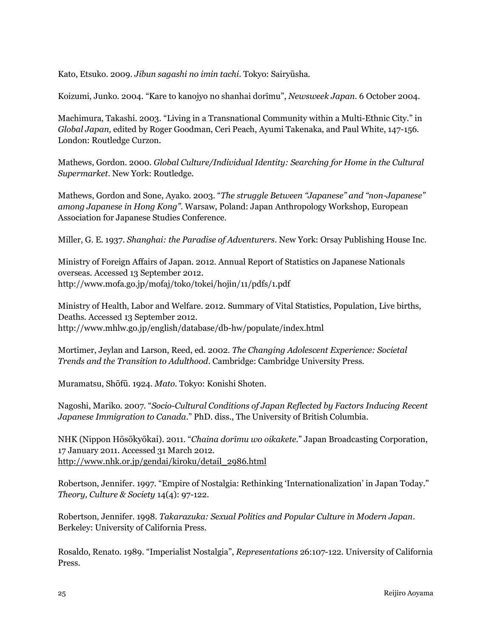Kato, Etsuko. 2009. *Jibun sagashi no imin tachi*. Tokyo: Sairyūsha.

Koizumi, Junko. 2004. "Kare to kanojyo no shanhai dorīmu", *Newsweek Japan*. 6 October 2004.

Machimura, Takashi. 2003. "Living in a Transnational Community within a Multi-Ethnic City." in *Global Japan,* edited by Roger Goodman, Ceri Peach, Ayumi Takenaka, and Paul White, 147-156. London: Routledge Curzon.

Mathews, Gordon. 2000. *Global Culture/Individual Identity: Searching for Home in the Cultural Supermarket*. New York: Routledge.

Mathews, Gordon and Sone, Ayako. 2003. "*The struggle Between "Japanese" and "non-Japanese" among Japanese in Hong Kong".* Warsaw, Poland: Japan Anthropology Workshop, European Association for Japanese Studies Conference.

Miller, G. E. 1937. *Shanghai: the Paradise of Adventurers*. New York: Orsay Publishing House Inc.

Ministry of Foreign Affairs of Japan. 2012. Annual Report of Statistics on Japanese Nationals overseas. Accessed 13 September 2012. <http://www.mofa.go.jp/mofaj/toko/tokei/hojin/11/pdfs/1.pdf>

Ministry of Health, Labor and Welfare. 2012. Summary of Vital Statistics, Population, Live births, Deaths. Accessed 13 September 2012. http://www.mhlw.go.jp/english/database/db-hw/populate/index.html

Mortimer, Jeylan and Larson, Reed, ed. 2002. *The Changing Adolescent Experience: Societal Trends and the Transition to Adulthood*. Cambridge: Cambridge University Press.

Muramatsu, Shōfū. 1924. *Mato*. Tokyo: Konishi Shoten.

Nagoshi, Mariko. 2007. "*Socio-Cultural Conditions of Japan Reflected by Factors Inducing Recent Japanese Immigration to Canada*." PhD. diss., The University of British Columbia.

NHK (Nippon Hōsōkyōkai). 2011. "*Chaina dorīmu wo oikakete*." Japan Broadcasting Corporation, 17 January 2011. Accessed 31 March 2012. [http://www.nhk.or.jp/gendai/kiroku/detail\\_2986.html](http://www.nhk.or.jp/gendai/kiroku/detail_2986.html)

Robertson, Jennifer. 1997. "Empire of Nostalgia: Rethinking 'Internationalization' in Japan Today." *Theory, Culture & Society* 14(4): 97-122.

Robertson, Jennifer. 1998. *Takarazuka: Sexual Politics and Popular Culture in Modern Japan*. Berkeley: University of California Press.

Rosaldo, Renato. 1989. "Imperialist Nostalgia", *Representations* 26:107-122. University of California Press.